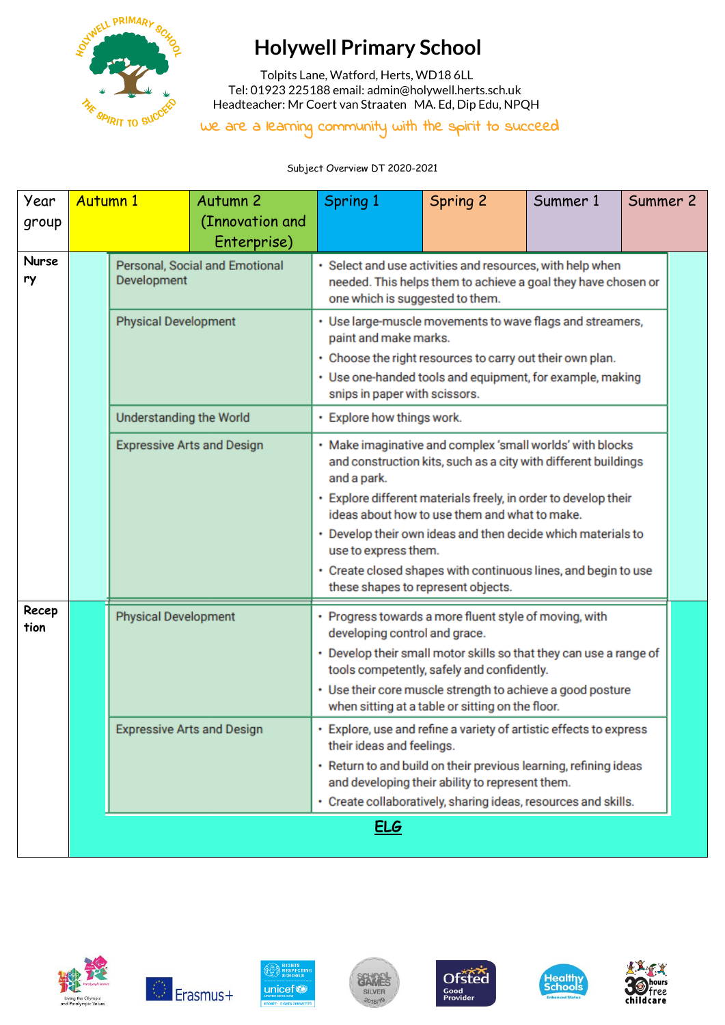

## **Holywell Primary School**

 Tolpits Lane, Watford, Herts, WD18 6LL Tel: 01923 225188 email[: admin@holywell.herts.sch.uk](mailto:admin@holywell.herts.sch.uk) Headteacher: Mr Coert van Straaten MA. Ed, Dip Edu, NPQH

We are a learning community with the spirit to succeed

Subject Overview DT 2020-2021

| Year<br>group      | <b>Autumn 1</b>             |                                   | Autumn <sub>2</sub><br>(Innovation and<br>Enterprise) | <b>Spring 1</b>                                                                                                                                                                                                                                                                                                                                                                                                                                                | <b>Spring 2</b>                                                                                                                                                    | Summer 1 | Summer 2 |  |
|--------------------|-----------------------------|-----------------------------------|-------------------------------------------------------|----------------------------------------------------------------------------------------------------------------------------------------------------------------------------------------------------------------------------------------------------------------------------------------------------------------------------------------------------------------------------------------------------------------------------------------------------------------|--------------------------------------------------------------------------------------------------------------------------------------------------------------------|----------|----------|--|
| <b>Nurse</b><br>ry |                             | Development                       | Personal, Social and Emotional                        | · Select and use activities and resources, with help when<br>needed. This helps them to achieve a goal they have chosen or<br>one which is suggested to them.                                                                                                                                                                                                                                                                                                  |                                                                                                                                                                    |          |          |  |
|                    |                             | <b>Physical Development</b>       |                                                       | • Use large-muscle movements to wave flags and streamers,<br>paint and make marks.<br>• Choose the right resources to carry out their own plan.<br>• Use one-handed tools and equipment, for example, making<br>snips in paper with scissors.                                                                                                                                                                                                                  |                                                                                                                                                                    |          |          |  |
|                    |                             | <b>Understanding the World</b>    |                                                       | • Explore how things work.                                                                                                                                                                                                                                                                                                                                                                                                                                     |                                                                                                                                                                    |          |          |  |
|                    |                             |                                   | <b>Expressive Arts and Design</b>                     | · Make imaginative and complex 'small worlds' with blocks<br>and construction kits, such as a city with different buildings<br>and a park.<br>• Explore different materials freely, in order to develop their<br>ideas about how to use them and what to make.<br>• Develop their own ideas and then decide which materials to<br>use to express them.<br>• Create closed shapes with continuous lines, and begin to use<br>these shapes to represent objects. |                                                                                                                                                                    |          |          |  |
| Recep<br>tion      | <b>Physical Development</b> |                                   |                                                       | • Progress towards a more fluent style of moving, with<br>developing control and grace.<br>• Use their core muscle strength to achieve a good posture                                                                                                                                                                                                                                                                                                          | Develop their small motor skills so that they can use a range of<br>tools competently, safely and confidently.<br>when sitting at a table or sitting on the floor. |          |          |  |
|                    |                             | <b>Expressive Arts and Design</b> |                                                       | • Explore, use and refine a variety of artistic effects to express<br>their ideas and feelings.<br>· Return to and build on their previous learning, refining ideas<br>and developing their ability to represent them.<br>• Create collaboratively, sharing ideas, resources and skills.                                                                                                                                                                       |                                                                                                                                                                    |          |          |  |
|                    |                             |                                   |                                                       | <u>ELG</u>                                                                                                                                                                                                                                                                                                                                                                                                                                                     |                                                                                                                                                                    |          |          |  |













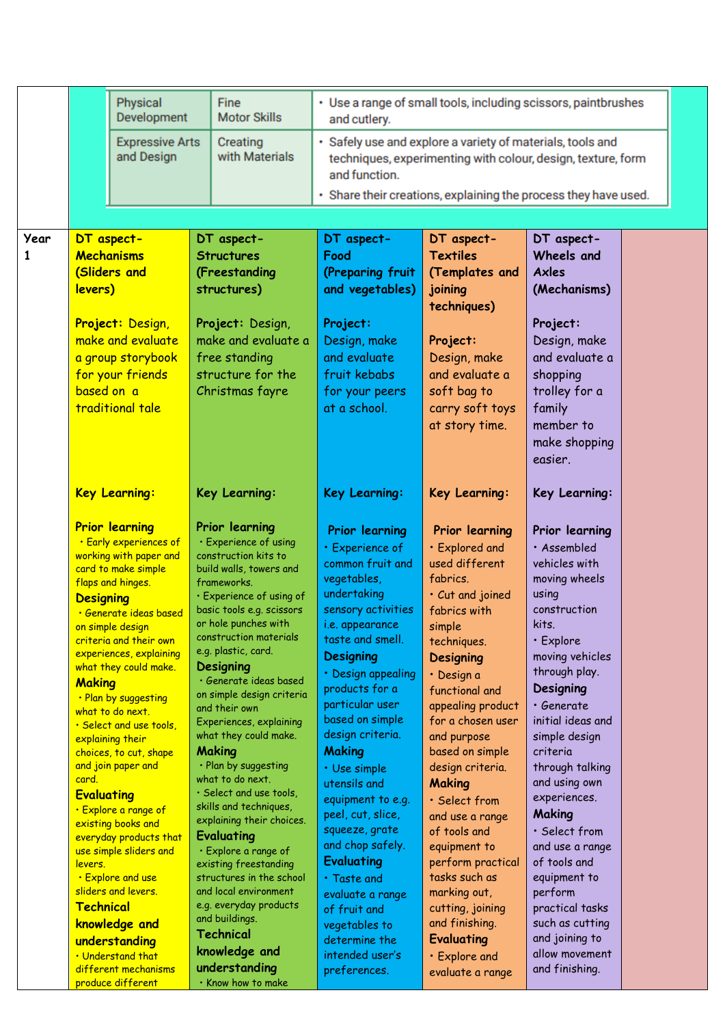|      |                            | Physical                                         | Fine                                              | • Use a range of small tools, including scissors, paintbrushes              |                                                              |                                    |  |
|------|----------------------------|--------------------------------------------------|---------------------------------------------------|-----------------------------------------------------------------------------|--------------------------------------------------------------|------------------------------------|--|
|      |                            | Development                                      | <b>Motor Skills</b>                               | and cutlery.                                                                |                                                              |                                    |  |
|      |                            | <b>Expressive Arts</b><br>and Design             | Creating<br>with Materials                        | · Safely use and explore a variety of materials, tools and<br>and function. | techniques, experimenting with colour, design, texture, form |                                    |  |
|      |                            |                                                  |                                                   | · Share their creations, explaining the process they have used.             |                                                              |                                    |  |
|      |                            |                                                  |                                                   |                                                                             |                                                              |                                    |  |
| Year |                            | DT aspect-                                       | DT aspect-                                        | DT aspect-                                                                  | DT aspect-                                                   | DT aspect-                         |  |
| 1    |                            | Mechanisms                                       | <b>Structures</b>                                 | Food                                                                        | <b>Textiles</b>                                              | Wheels and                         |  |
|      |                            | (Sliders and                                     | (Freestanding                                     | (Preparing fruit                                                            | (Templates and                                               | <b>Axles</b>                       |  |
|      | levers)                    |                                                  | structures)                                       | and vegetables)                                                             | joining<br>techniques)                                       | (Mechanisms)                       |  |
|      |                            | Project: Design,                                 | Project: Design,                                  | Project:                                                                    |                                                              | Project:                           |  |
|      |                            | make and evaluate                                | make and evaluate a                               | Design, make                                                                | Project:                                                     | Design, make                       |  |
|      |                            | a group storybook                                | free standing                                     | and evaluate                                                                | Design, make                                                 | and evaluate a                     |  |
|      |                            | for your friends                                 | structure for the                                 | fruit kebabs                                                                | and evaluate a                                               | shopping                           |  |
|      | based on a                 |                                                  | Christmas fayre                                   | for your peers                                                              | soft bag to                                                  | trolley for a                      |  |
|      |                            | traditional tale                                 |                                                   | at a school.                                                                | carry soft toys                                              | family                             |  |
|      |                            |                                                  |                                                   |                                                                             | at story time.                                               | member to                          |  |
|      |                            |                                                  |                                                   |                                                                             |                                                              | make shopping<br>easier.           |  |
|      |                            |                                                  |                                                   |                                                                             |                                                              |                                    |  |
|      |                            | <b>Key Learning:</b>                             | Key Learning:                                     | <b>Key Learning:</b>                                                        | Key Learning:                                                | Key Learning:                      |  |
|      |                            | <b>Prior learning</b>                            | Prior learning                                    | <b>Prior learning</b>                                                       | <b>Prior learning</b>                                        | Prior learning                     |  |
|      |                            | · Early experiences of                           | · Experience of using                             | · Experience of                                                             | · Explored and                                               | · Assembled                        |  |
|      |                            | working with paper and<br>card to make simple    | construction kits to<br>build walls, towers and   | common fruit and                                                            | used different                                               | vehicles with                      |  |
|      |                            | flaps and hinges.                                | frameworks.                                       | vegetables,                                                                 | fabrics.                                                     | moving wheels                      |  |
|      | <b>Designing</b>           |                                                  | · Experience of using of                          | undertaking                                                                 | · Cut and joined                                             | using<br>construction              |  |
|      |                            | · Generate ideas based<br>on simple design       | basic tools e.g. scissors<br>or hole punches with | sensory activities<br><i>i.e.</i> appearance                                | fabrics with<br>simple                                       | kits.                              |  |
|      |                            | criteria and their own                           | construction materials                            | taste and smell.                                                            | techniques.                                                  | • Explore                          |  |
|      |                            | experiences, explaining                          | e.g. plastic, card.                               | <b>Designing</b>                                                            | <b>Designing</b>                                             | moving vehicles                    |  |
|      | <b>Making</b>              | what they could make.                            | Designing<br>· Generate ideas based               | Design appealing                                                            | · Design a                                                   | through play.                      |  |
|      |                            | . Plan by suggesting                             | on simple design criteria                         | products for a                                                              | functional and                                               | Designing                          |  |
|      |                            | what to do next.                                 | and their own                                     | particular user<br>based on simple                                          | appealing product                                            | · Generate                         |  |
|      |                            | • Select and use tools,<br>explaining their      | Experiences, explaining<br>what they could make.  | design criteria.                                                            | for a chosen user<br>and purpose                             | initial ideas and<br>simple design |  |
|      |                            | choices, to cut, shape                           | Making                                            | Making                                                                      | based on simple                                              | criteria                           |  |
|      |                            | and join paper and                               | · Plan by suggesting                              | · Use simple                                                                | design criteria.                                             | through talking                    |  |
|      | card.<br><b>Evaluating</b> |                                                  | what to do next.<br>· Select and use tools,       | utensils and                                                                | <b>Making</b>                                                | and using own                      |  |
|      |                            | · Explore a range of                             | skills and techniques,                            | equipment to e.g.<br>peel, cut, slice,                                      | · Select from                                                | experiences.<br>Making             |  |
|      |                            | existing books and                               | explaining their choices.                         | squeeze, grate                                                              | and use a range<br>of tools and                              | · Select from                      |  |
|      |                            | everyday products that<br>use simple sliders and | Evaluating<br>· Explore a range of                | and chop safely.                                                            | equipment to                                                 | and use a range                    |  |
|      | <u>levers.</u>             |                                                  | existing freestanding                             | <b>Evaluating</b>                                                           | perform practical                                            | of tools and                       |  |
|      |                            | . Explore and use                                | structures in the school                          | $\cdot$ Taste and                                                           | tasks such as                                                | equipment to                       |  |
|      | Technical                  | sliders and levers.                              | and local environment<br>e.g. everyday products   | evaluate a range                                                            | marking out,                                                 | perform                            |  |
|      |                            | knowledge and                                    | and buildings.                                    | of fruit and<br>vegetables to                                               | cutting, joining<br>and finishing.                           | practical tasks<br>such as cutting |  |
|      |                            | understanding                                    | <b>Technical</b>                                  | determine the                                                               | <b>Evaluating</b>                                            | and joining to                     |  |
|      |                            | . Understand that                                | knowledge and                                     | intended user's                                                             | • Explore and                                                | allow movement                     |  |
|      |                            | different mechanisms                             | understanding                                     | preferences.                                                                | evaluate a range                                             | and finishing.                     |  |
|      |                            | produce different                                | · Know how to make                                |                                                                             |                                                              |                                    |  |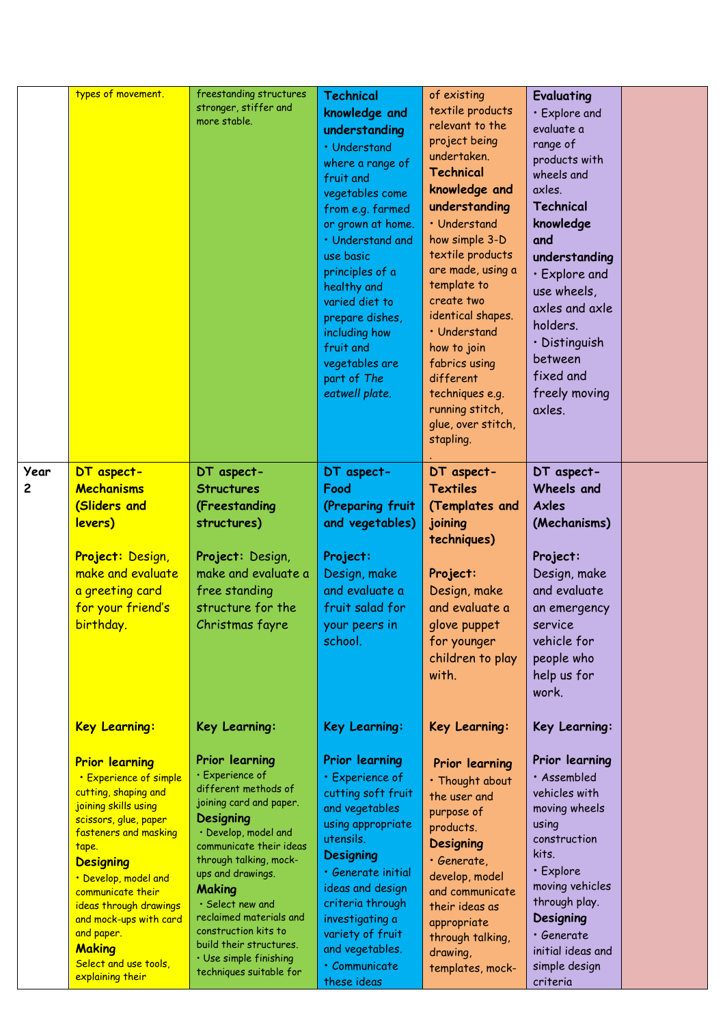|           | types of movement.                                                                                                                                                                                                                                                                                                                                                                  | freestanding structures<br>stronger, stiffer and<br>more stable.                                                                                                                                                                                                                                                                                                                                    | <b>Technical</b><br>knowledge and<br>understanding<br>• Understand<br>where a range of<br>fruit and<br>vegetables come<br>from e.g. farmed<br>or grown at home.<br>· Understand and<br>use basic<br>principles of a<br>healthy and<br>varied diet to<br>prepare dishes,<br>including how<br>fruit and<br>vegetables are<br>part of The<br>eatwell plate. | of existing<br>textile products<br>relevant to the<br>project being<br>undertaken.<br><b>Technical</b><br>knowledge and<br>understanding<br>• Understand<br>how simple 3-D<br>textile products<br>are made, using a<br>template to<br>create two<br>identical shapes.<br>• Understand<br>how to join<br>fabrics using<br>different<br>techniques e.g.<br>running stitch,<br>glue, over stitch,<br>stapling. | Evaluating<br>· Explore and<br>evaluate a<br>range of<br>products with<br>wheels and<br>axles.<br>Technical<br>knowledge<br>and<br>understanding<br>· Explore and<br>use wheels,<br>axles and axle<br>holders.<br>· Distinguish<br>between<br>fixed and<br>freely moving<br>axles. |  |
|-----------|-------------------------------------------------------------------------------------------------------------------------------------------------------------------------------------------------------------------------------------------------------------------------------------------------------------------------------------------------------------------------------------|-----------------------------------------------------------------------------------------------------------------------------------------------------------------------------------------------------------------------------------------------------------------------------------------------------------------------------------------------------------------------------------------------------|----------------------------------------------------------------------------------------------------------------------------------------------------------------------------------------------------------------------------------------------------------------------------------------------------------------------------------------------------------|-------------------------------------------------------------------------------------------------------------------------------------------------------------------------------------------------------------------------------------------------------------------------------------------------------------------------------------------------------------------------------------------------------------|------------------------------------------------------------------------------------------------------------------------------------------------------------------------------------------------------------------------------------------------------------------------------------|--|
| Year<br>2 | DT aspect-<br>Mechanisms<br>(Sliders and<br>levers)<br>Project: Design,<br>make and evaluate<br>a greeting card<br>for your friend's<br>birthday.                                                                                                                                                                                                                                   | DT aspect-<br><b>Structures</b><br>(Freestanding<br>structures)<br>Project: Design,<br>make and evaluate a<br>free standing<br>structure for the<br>Christmas fayre                                                                                                                                                                                                                                 | DT aspect-<br>Food<br>(Preparing fruit<br>and vegetables)<br>Project:<br>Design, make<br>and evaluate a<br>fruit salad for<br>your peers in<br>school.                                                                                                                                                                                                   | DT aspect-<br><b>Textiles</b><br>(Templates and<br>joining<br>techniques)<br>Project:<br>Design, make<br>and evaluate a<br>glove puppet<br>for younger<br>children to play<br>with.                                                                                                                                                                                                                         | DT aspect-<br>Wheels and<br><b>Axles</b><br>(Mechanisms)<br>Project:<br>Design, make<br>and evaluate<br>an emergency<br>service<br>vehicle for<br>people who<br>help us for<br>work.                                                                                               |  |
|           | <b>Key Learning:</b><br><b>Prior learning</b><br>• Experience of simple<br>cutting, shaping and<br>joining skills using<br>scissors, glue, paper<br>fasteners and masking<br>tape.<br><b>Designing</b><br>. Develop, model and<br>communicate their<br>ideas through drawings<br>and mock-ups with card<br>and paper.<br><b>Making</b><br>Select and use tools,<br>explaining their | Key Learning:<br>Prior learning<br>· Experience of<br>different methods of<br>joining card and paper.<br><b>Designing</b><br>· Develop, model and<br>communicate their ideas<br>through talking, mock-<br>ups and drawings.<br><b>Making</b><br>· Select new and<br>reclaimed materials and<br>construction kits to<br>build their structures.<br>· Use simple finishing<br>techniques suitable for | Key Learning:<br><b>Prior learning</b><br>· Experience of<br>cutting soft fruit<br>and vegetables<br>using appropriate<br>utensils.<br><b>Designing</b><br>· Generate initial<br>ideas and design<br>criteria through<br>investigating a<br>variety of fruit<br>and vegetables.<br>· Communicate<br>these ideas                                          | Key Learning:<br>Prior learning<br>· Thought about<br>the user and<br>purpose of<br>products.<br><b>Designing</b><br>· Generate,<br>develop, model<br>and communicate<br>their ideas as<br>appropriate<br>through talking,<br>drawing,<br>templates, mock-                                                                                                                                                  | Key Learning:<br>Prior learning<br>· Assembled<br>vehicles with<br>moving wheels<br>using<br>construction<br>kits.<br>• Explore<br>moving vehicles<br>through play.<br>Designing<br>· Generate<br>initial ideas and<br>simple design<br>criteria                                   |  |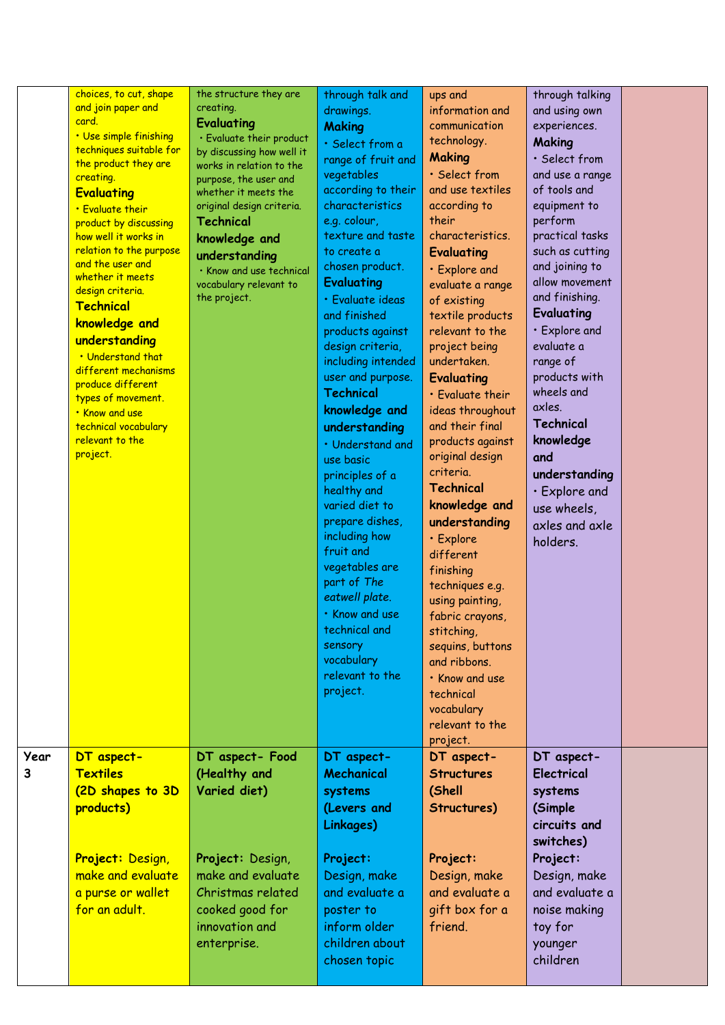| choices, to cut, shape<br>and join paper and<br>card.<br>• Use simple finishing<br>techniques suitable for<br>the product they are<br>creating.<br><b>Evaluating</b><br>• Evaluate their<br>product by discussing<br>how well it works in<br>relation to the purpose<br>and the user and<br>whether it meets<br>design criteria.<br>Technical<br>knowledge and<br>understanding<br>. Understand that<br>different mechanisms<br>produce different<br>types of movement.<br>. Know and use<br>technical vocabulary<br>relevant to the<br>project. | the structure they are<br>creating.<br>Evaluating<br>· Evaluate their product<br>by discussing how well it<br>works in relation to the<br>purpose, the user and<br>whether it meets the<br>original design criteria.<br><b>Technical</b><br>knowledge and<br>understanding<br>· Know and use technical<br>vocabulary relevant to<br>the project. | through talk and<br>drawings.<br><b>Making</b><br>· Select from a<br>range of fruit and<br>vegetables<br>according to their<br>characteristics<br>e.g. colour,<br>texture and taste<br>to create a<br>chosen product.<br><b>Evaluating</b><br>· Evaluate ideas<br>and finished<br>products against<br>design criteria,<br>including intended<br>user and purpose.<br><b>Technical</b><br>knowledge and<br>understanding<br>• Understand and<br>use basic<br>principles of a<br>healthy and<br>varied diet to<br>prepare dishes,<br>including how<br>fruit and<br>vegetables are<br>part of The<br>eatwell plate.<br>· Know and use<br>technical and<br>sensory<br>vocabulary<br>relevant to the<br>project. | ups and<br>information and<br>communication<br>technology.<br><b>Making</b><br>· Select from<br>and use textiles<br>according to<br>their<br>characteristics.<br>Evaluating<br>• Explore and<br>evaluate a range<br>of existing<br>textile products<br>relevant to the<br>project being<br>undertaken.<br><b>Evaluating</b><br>· Evaluate their<br>ideas throughout<br>and their final<br>products against<br>original design<br>criteria.<br>Technical<br>knowledge and<br>understanding<br>· Explore<br>different<br>finishing<br>techniques e.g.<br>using painting,<br>fabric crayons,<br>stitching,<br>sequins, buttons<br>and ribbons.<br>. Know and use<br>technical<br>vocabulary<br>relevant to the | through talking<br>and using own<br>experiences.<br>Making<br>· Select from<br>and use a range<br>of tools and<br>equipment to<br>perform<br>practical tasks<br>such as cutting<br>and joining to<br>allow movement<br>and finishing.<br>Evaluating<br>· Explore and<br>evaluate a<br>range of<br>products with<br>wheels and<br>axles.<br><b>Technical</b><br>knowledge<br>and<br>understanding<br>· Explore and<br>use wheels,<br>axles and axle<br>holders. |  |
|--------------------------------------------------------------------------------------------------------------------------------------------------------------------------------------------------------------------------------------------------------------------------------------------------------------------------------------------------------------------------------------------------------------------------------------------------------------------------------------------------------------------------------------------------|--------------------------------------------------------------------------------------------------------------------------------------------------------------------------------------------------------------------------------------------------------------------------------------------------------------------------------------------------|-------------------------------------------------------------------------------------------------------------------------------------------------------------------------------------------------------------------------------------------------------------------------------------------------------------------------------------------------------------------------------------------------------------------------------------------------------------------------------------------------------------------------------------------------------------------------------------------------------------------------------------------------------------------------------------------------------------|-------------------------------------------------------------------------------------------------------------------------------------------------------------------------------------------------------------------------------------------------------------------------------------------------------------------------------------------------------------------------------------------------------------------------------------------------------------------------------------------------------------------------------------------------------------------------------------------------------------------------------------------------------------------------------------------------------------|----------------------------------------------------------------------------------------------------------------------------------------------------------------------------------------------------------------------------------------------------------------------------------------------------------------------------------------------------------------------------------------------------------------------------------------------------------------|--|
| DT aspect-<br><b>Textiles</b><br>(2D shapes to 3D<br>products)<br>Project: Design,<br>make and evaluate<br>a purse or wallet<br>for an adult.                                                                                                                                                                                                                                                                                                                                                                                                    | DT aspect- Food<br>(Healthy and<br>Varied diet)<br>Project: Design,<br>make and evaluate<br>Christmas related<br>cooked good for<br>innovation and<br>enterprise.                                                                                                                                                                                | DT aspect-<br>Mechanical<br>systems<br>(Levers and<br>Linkages)<br>Project:<br>Design, make<br>and evaluate a<br>poster to<br>inform older<br>children about<br>chosen topic                                                                                                                                                                                                                                                                                                                                                                                                                                                                                                                                | DT aspect-<br><b>Structures</b><br>(Shell<br>Structures)<br>Project:<br>Design, make<br>and evaluate a<br>gift box for a<br>friend.                                                                                                                                                                                                                                                                                                                                                                                                                                                                                                                                                                         | DT aspect-<br><b>Electrical</b><br>systems<br>(Simple<br>circuits and<br>switches)<br>Project:<br>Design, make<br>and evaluate a<br>noise making<br>toy for<br>younger<br>children                                                                                                                                                                                                                                                                             |  |
|                                                                                                                                                                                                                                                                                                                                                                                                                                                                                                                                                  |                                                                                                                                                                                                                                                                                                                                                  |                                                                                                                                                                                                                                                                                                                                                                                                                                                                                                                                                                                                                                                                                                             |                                                                                                                                                                                                                                                                                                                                                                                                                                                                                                                                                                                                                                                                                                             | project.                                                                                                                                                                                                                                                                                                                                                                                                                                                       |  |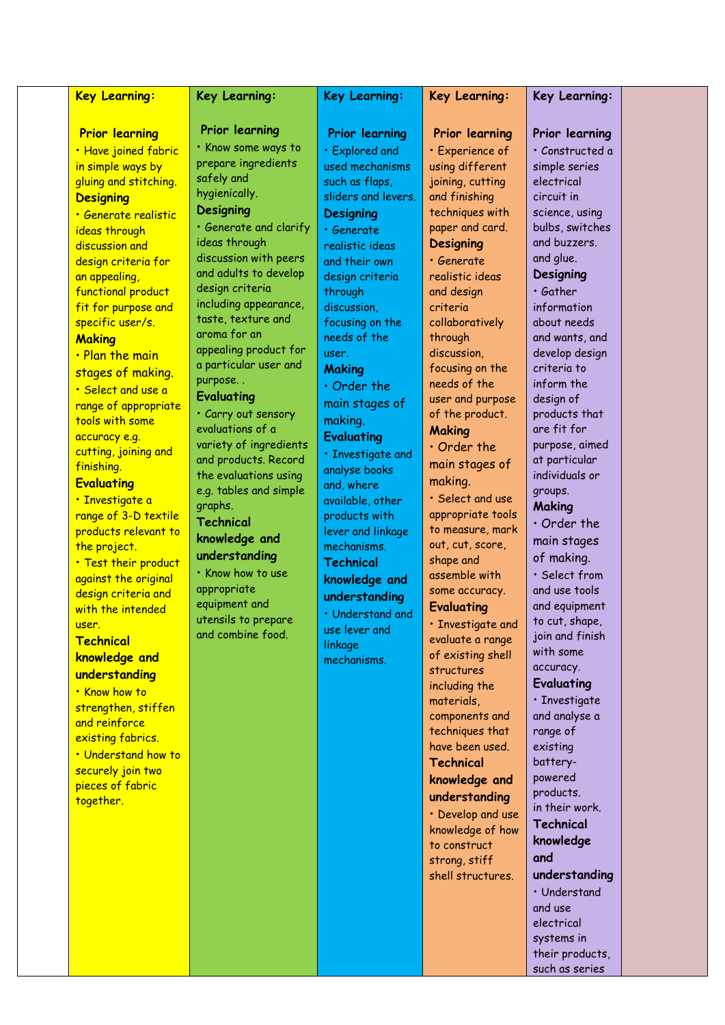| Prior learning<br><b>Prior learning</b><br><b>Prior learning</b><br>Prior learning<br>Prior learning                                                                                                                                                                                                                                                                                                                                                                                                                                                                                                                                                                                                                                                                                                                                                                                                                                                                                                                                                                                                                                                                                                                                                                                                                                                                                                                                                                                                                                                                                                                                                                                                                                                                                                                                                                                                                                                                                                                                                                                                                                                                                                                                                                                                                                                                                                                                                                                                                                                                                                                                                                                                                                                                                                                                                                                                                                                                                                                                                                                                                                                                                                                                                                                                                                                                                                                                                                                                                                                                                                                                                                                                                                                                                                                                                      |  |
|-----------------------------------------------------------------------------------------------------------------------------------------------------------------------------------------------------------------------------------------------------------------------------------------------------------------------------------------------------------------------------------------------------------------------------------------------------------------------------------------------------------------------------------------------------------------------------------------------------------------------------------------------------------------------------------------------------------------------------------------------------------------------------------------------------------------------------------------------------------------------------------------------------------------------------------------------------------------------------------------------------------------------------------------------------------------------------------------------------------------------------------------------------------------------------------------------------------------------------------------------------------------------------------------------------------------------------------------------------------------------------------------------------------------------------------------------------------------------------------------------------------------------------------------------------------------------------------------------------------------------------------------------------------------------------------------------------------------------------------------------------------------------------------------------------------------------------------------------------------------------------------------------------------------------------------------------------------------------------------------------------------------------------------------------------------------------------------------------------------------------------------------------------------------------------------------------------------------------------------------------------------------------------------------------------------------------------------------------------------------------------------------------------------------------------------------------------------------------------------------------------------------------------------------------------------------------------------------------------------------------------------------------------------------------------------------------------------------------------------------------------------------------------------------------------------------------------------------------------------------------------------------------------------------------------------------------------------------------------------------------------------------------------------------------------------------------------------------------------------------------------------------------------------------------------------------------------------------------------------------------------------------------------------------------------------------------------------------------------------------------------------------------------------------------------------------------------------------------------------------------------------------------------------------------------------------------------------------------------------------------------------------------------------------------------------------------------------------------------------------------------------------------------------------------------------------------------------------------------------|--|
| • Know some ways to<br>· Have joined fabric<br>· Explored and<br>· Constructed a<br>· Experience of<br>prepare ingredients<br>in simple ways by<br>used mechanisms<br>using different<br>simple series<br>safely and<br>gluing and stitching.<br>joining, cutting<br>electrical<br>such as flaps,<br>hygienically.<br>and finishing<br>sliders and levers.<br>circuit in<br><b>Designing</b><br><b>Designing</b><br>techniques with<br>science, using<br><b>Designing</b><br><u>• Generate realistic</u><br>· Generate and clarify<br>bulbs, switches<br>paper and card.<br>ideas through<br>· Generate<br>ideas through<br>and buzzers.<br><b>Designing</b><br>discussion and<br>realistic ideas<br>discussion with peers<br>and glue.<br>design criteria for<br>· Generate<br>and their own<br>and adults to develop<br><b>Designing</b><br>realistic ideas<br>an appealing,<br>design criteria<br>design criteria<br>· Gather<br>functional product<br>through<br>and design<br>including appearance,<br>discussion,<br>fit for purpose and<br>criteria<br>information<br>taste, texture and<br>specific user/s.<br>focusing on the<br>collaboratively<br>about needs<br>aroma for an<br>needs of the<br>through<br>and wants, and<br><b>Making</b><br>appealing product for<br>discussion,<br>develop design<br>user.<br>. Plan the main<br>a particular user and<br>focusing on the<br>criteria to<br><b>Making</b><br>stages of making.<br>purpose<br>needs of the<br>inform the<br>$\cdot$ Order the<br>• Select and use a<br><b>Evaluating</b><br>user and purpose<br>design of<br>main stages of<br>range of appropriate<br>· Carry out sensory<br>of the product.<br>products that<br>making.<br>tools with some<br>evaluations of a<br>are fit for<br><b>Making</b><br>accuracy e.g.<br><b>Evaluating</b><br>variety of ingredients<br>purpose, aimed<br>$\cdot$ Order the<br>cutting, joining and<br>· Investigate and<br>and products. Record<br>at particular<br>main stages of<br>finishing.<br>analyse books<br>the evaluations using<br>individuals or<br>making.<br><b>Evaluating</b><br>and, where<br>e.g. tables and simple<br>groups.<br>· Select and use<br>· Investigate a<br>available, other<br>graphs.<br><b>Making</b><br>appropriate tools<br>range of 3-D textile<br>products with<br><b>Technical</b><br>$\cdot$ Order the<br>to measure, mark<br>products relevant to<br>lever and linkage<br>knowledge and<br>main stages<br>out, cut, score,<br>the project.<br>mechanisms.<br>understanding<br>of making.<br>shape and<br>. Test their product<br><b>Technical</b><br>. Know how to use<br>· Select from<br>assemble with<br>against the original<br>knowledge and<br>appropriate<br>and use tools<br>some accuracy.<br>design criteria and<br>understanding<br>equipment and<br>and equipment<br><b>Evaluating</b><br>with the intended<br>· Understand and<br>utensils to prepare<br>to cut, shape,<br>· Investigate and<br>user.<br>use lever and<br>and combine food.<br>join and finish<br>evaluate a range<br>Technical<br>linkage<br>with some<br>of existing shell<br>knowledge and<br>mechanisms.<br>accuracy.<br>structures<br>understanding<br>Evaluating<br>including the<br>• Know how to<br>· Investigate<br>materials,<br>strengthen, stiffen<br>and analyse a<br>components and<br>and reinforce<br>techniques that<br>range of<br>existing fabrics.<br>have been used.<br>existing<br>. Understand how to<br><b>Technical</b><br>battery-<br>securely join two<br>powered<br>knowledge and<br>pieces of fabric<br>products.<br>understanding<br>together.<br>in their work.<br>• Develop and use<br>Technical<br>knowledge of how<br>knowledge<br>to construct<br>and<br>strong, stiff<br>understanding<br>shell structures.<br>• Understand<br>and use<br>electrical<br>systems in<br>their products, |  |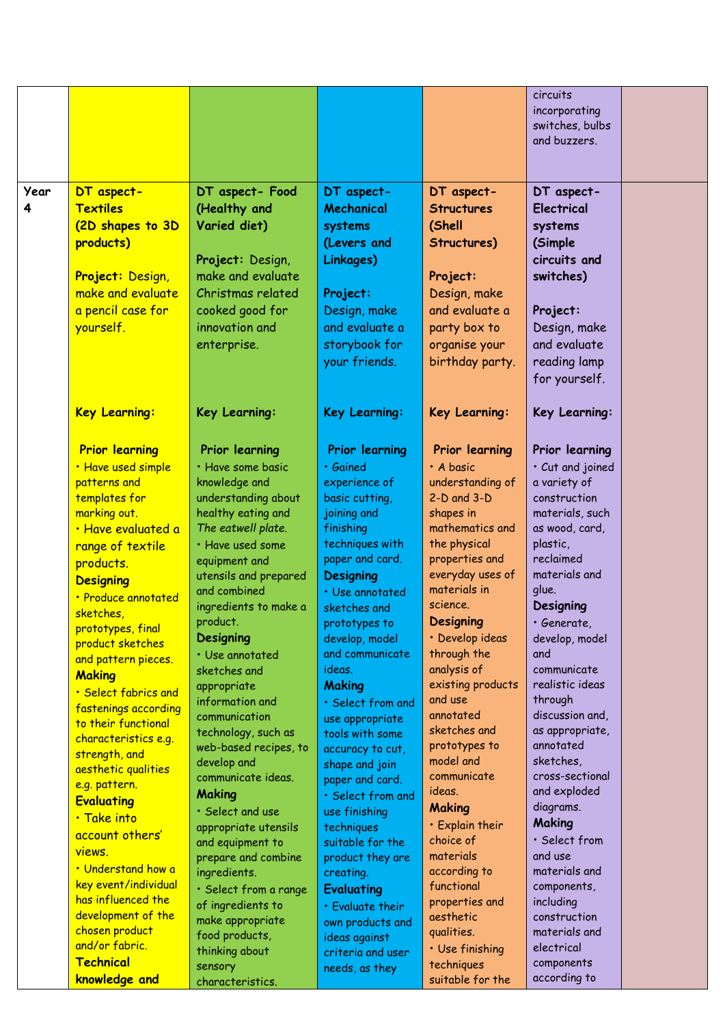|           |                                                                                                                                                                                                                                                                                                                                                                                                                                                                                                                                                                                                                                                     |                                                                                                                                                                                                                                                                                                                                                                                                                                                                                                                                                                                                                                                                  |                                                                                                                                                                                                                                                                                                                                                                                                                                                                                                                                                                                                                |                                                                                                                                                                                                                                                                                                                                                                                                                                                                                                                                           | circuits<br>incorporating<br>switches, bulbs<br>and buzzers.                                                                                                                                                                                                                                                                                                                                                                                                                                                   |  |
|-----------|-----------------------------------------------------------------------------------------------------------------------------------------------------------------------------------------------------------------------------------------------------------------------------------------------------------------------------------------------------------------------------------------------------------------------------------------------------------------------------------------------------------------------------------------------------------------------------------------------------------------------------------------------------|------------------------------------------------------------------------------------------------------------------------------------------------------------------------------------------------------------------------------------------------------------------------------------------------------------------------------------------------------------------------------------------------------------------------------------------------------------------------------------------------------------------------------------------------------------------------------------------------------------------------------------------------------------------|----------------------------------------------------------------------------------------------------------------------------------------------------------------------------------------------------------------------------------------------------------------------------------------------------------------------------------------------------------------------------------------------------------------------------------------------------------------------------------------------------------------------------------------------------------------------------------------------------------------|-------------------------------------------------------------------------------------------------------------------------------------------------------------------------------------------------------------------------------------------------------------------------------------------------------------------------------------------------------------------------------------------------------------------------------------------------------------------------------------------------------------------------------------------|----------------------------------------------------------------------------------------------------------------------------------------------------------------------------------------------------------------------------------------------------------------------------------------------------------------------------------------------------------------------------------------------------------------------------------------------------------------------------------------------------------------|--|
| Year<br>4 | DT aspect-<br><b>Textiles</b><br>(2D shapes to 3D<br>products)<br>Project: Design,<br>make and evaluate<br>a pencil case for<br>yourself.                                                                                                                                                                                                                                                                                                                                                                                                                                                                                                           | DT aspect- Food<br>(Healthy and<br>Varied diet)<br>Project: Design,<br>make and evaluate<br>Christmas related<br>cooked good for<br>innovation and<br>enterprise.                                                                                                                                                                                                                                                                                                                                                                                                                                                                                                | DT aspect-<br>Mechanical<br>systems<br>(Levers and<br>Linkages)<br>Project:<br>Design, make<br>and evaluate a<br>storybook for<br>your friends.                                                                                                                                                                                                                                                                                                                                                                                                                                                                | DT aspect-<br><b>Structures</b><br>(Shell<br>Structures)<br>Project:<br>Design, make<br>and evaluate a<br>party box to<br>organise your<br>birthday party.                                                                                                                                                                                                                                                                                                                                                                                | DT aspect-<br><b>Electrical</b><br>systems<br>(Simple<br>circuits and<br>switches)<br>Project:<br>Design, make<br>and evaluate<br>reading lamp<br>for yourself.                                                                                                                                                                                                                                                                                                                                                |  |
|           | <b>Key Learning:</b>                                                                                                                                                                                                                                                                                                                                                                                                                                                                                                                                                                                                                                | Key Learning:                                                                                                                                                                                                                                                                                                                                                                                                                                                                                                                                                                                                                                                    | Key Learning:                                                                                                                                                                                                                                                                                                                                                                                                                                                                                                                                                                                                  | Key Learning:                                                                                                                                                                                                                                                                                                                                                                                                                                                                                                                             | Key Learning:                                                                                                                                                                                                                                                                                                                                                                                                                                                                                                  |  |
|           | <b>Prior learning</b><br>· Have used simple<br>patterns and<br>templates for<br>marking out.<br>· Have evaluated a<br>range of textile<br>products.<br><b>Designing</b><br>· Produce annotated<br>sketches,<br>prototypes, final<br>product sketches<br>and pattern pieces.<br><b>Making</b><br>• Select fabrics and<br>fastenings according<br>to their functional<br>characteristics e.g.<br>strength, and<br>aesthetic qualities<br>e.g. pattern.<br><b>Evaluating</b><br>· Take into<br>account others'<br>views.<br>• Understand how a<br>key event/individual<br>has influenced the<br>development of the<br>chosen product<br>and/or fabric. | Prior learning<br>· Have some basic<br>knowledge and<br>understanding about<br>healthy eating and<br>The eatwell plate.<br>· Have used some<br>equipment and<br>utensils and prepared<br>and combined<br>ingredients to make a<br>product.<br>Designing<br>· Use annotated<br>sketches and<br>appropriate<br>information and<br>communication<br>technology, such as<br>web-based recipes, to<br>develop and<br>communicate ideas.<br><b>Making</b><br>· Select and use<br>appropriate utensils<br>and equipment to<br>prepare and combine<br>ingredients.<br>· Select from a range<br>of ingredients to<br>make appropriate<br>food products,<br>thinking about | <b>Prior learning</b><br>· Gained<br>experience of<br>basic cutting,<br>joining and<br>finishing<br>techniques with<br>paper and card.<br><b>Designing</b><br>· Use annotated<br>sketches and<br>prototypes to<br>develop, model<br>and communicate<br>ideas.<br><b>Making</b><br>· Select from and<br>use appropriate<br>tools with some<br>accuracy to cut,<br>shape and join<br>paper and card.<br>· Select from and<br>use finishing<br>techniques<br>suitable for the<br>product they are<br>creating.<br><b>Evaluating</b><br>· Evaluate their<br>own products and<br>ideas against<br>criteria and user | Prior learning<br>· A basic<br>understanding of<br>$2-D$ and $3-D$<br>shapes in<br>mathematics and<br>the physical<br>properties and<br>everyday uses of<br>materials in<br>science.<br><b>Designing</b><br>· Develop ideas<br>through the<br>analysis of<br>existing products<br>and use<br>annotated<br>sketches and<br>prototypes to<br>model and<br>communicate<br>ideas.<br><b>Making</b><br>• Explain their<br>choice of<br>materials<br>according to<br>functional<br>properties and<br>aesthetic<br>qualities.<br>· Use finishing | Prior learning<br>· Cut and joined<br>a variety of<br>construction<br>materials, such<br>as wood, card,<br>plastic,<br>reclaimed<br>materials and<br>glue.<br>Designing<br>· Generate,<br>develop, model<br>and<br>communicate<br>realistic ideas<br>through<br>discussion and,<br>as appropriate,<br>annotated<br>sketches,<br>cross-sectional<br>and exploded<br>diagrams.<br>Making<br>· Select from<br>and use<br>materials and<br>components,<br>including<br>construction<br>materials and<br>electrical |  |
|           | Technical                                                                                                                                                                                                                                                                                                                                                                                                                                                                                                                                                                                                                                           | sensory                                                                                                                                                                                                                                                                                                                                                                                                                                                                                                                                                                                                                                                          | needs, as they                                                                                                                                                                                                                                                                                                                                                                                                                                                                                                                                                                                                 | techniques                                                                                                                                                                                                                                                                                                                                                                                                                                                                                                                                | components                                                                                                                                                                                                                                                                                                                                                                                                                                                                                                     |  |
|           | knowledge and                                                                                                                                                                                                                                                                                                                                                                                                                                                                                                                                                                                                                                       | characteristics.                                                                                                                                                                                                                                                                                                                                                                                                                                                                                                                                                                                                                                                 |                                                                                                                                                                                                                                                                                                                                                                                                                                                                                                                                                                                                                | suitable for the                                                                                                                                                                                                                                                                                                                                                                                                                                                                                                                          | according to                                                                                                                                                                                                                                                                                                                                                                                                                                                                                                   |  |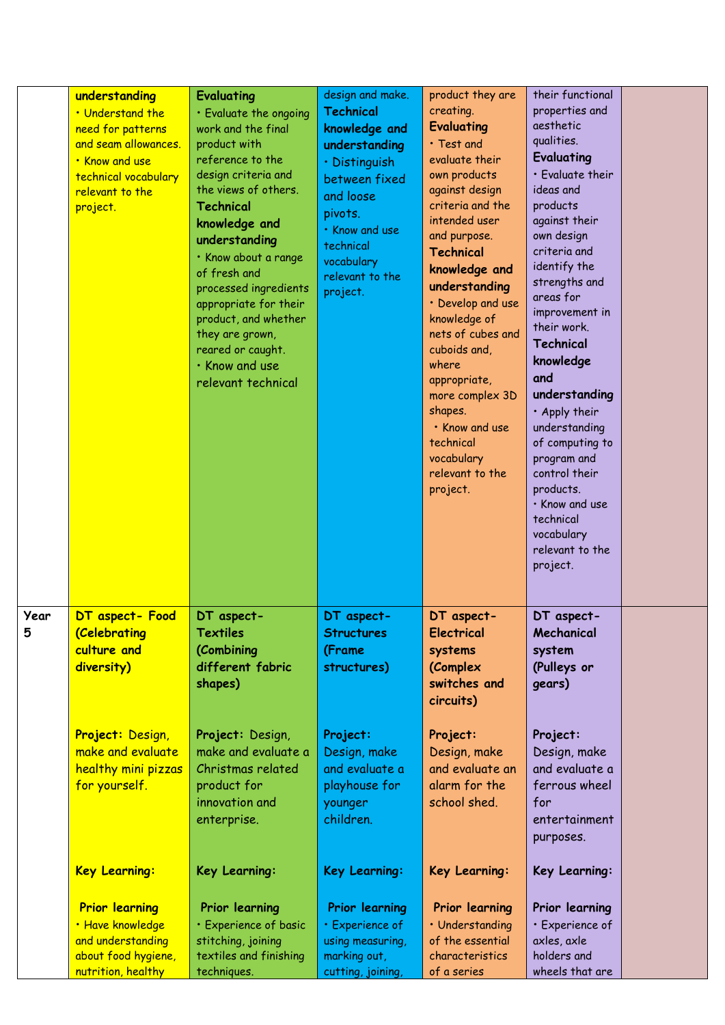|           | understanding<br>. Understand the<br>need for patterns<br>and seam allowances.<br>. Know and use<br>technical vocabulary<br>relevant to the<br>project. | Evaluating<br>· Evaluate the ongoing<br>work and the final<br>product with<br>reference to the<br>design criteria and<br>the views of others.<br><b>Technical</b><br>knowledge and<br>understanding<br>· Know about a range<br>of fresh and<br>processed ingredients<br>appropriate for their<br>product, and whether<br>they are grown,<br>reared or caught.<br>. Know and use<br>relevant technical | design and make.<br><b>Technical</b><br>knowledge and<br>understanding<br>· Distinguish<br>between fixed<br>and loose<br>pivots.<br>· Know and use<br>technical<br>vocabulary<br>relevant to the<br>project. | product they are<br>creating.<br><b>Evaluating</b><br>· Test and<br>evaluate their<br>own products<br>against design<br>criteria and the<br>intended user<br>and purpose.<br><b>Technical</b><br>knowledge and<br>understanding<br>• Develop and use<br>knowledge of<br>nets of cubes and<br>cuboids and,<br>where<br>appropriate,<br>more complex 3D<br>shapes.<br>· Know and use<br>technical<br>vocabulary<br>relevant to the<br>project. | their functional<br>properties and<br>aesthetic<br>qualities.<br>Evaluating<br>· Evaluate their<br>ideas and<br>products<br>against their<br>own design<br>criteria and<br>identify the<br>strengths and<br>areas for<br>improvement in<br>their work.<br>Technical<br>knowledge<br>and<br>understanding<br>· Apply their<br>understanding<br>of computing to<br>program and<br>control their<br>products.<br>· Know and use<br>technical<br>vocabulary<br>relevant to the<br>project. |  |
|-----------|---------------------------------------------------------------------------------------------------------------------------------------------------------|-------------------------------------------------------------------------------------------------------------------------------------------------------------------------------------------------------------------------------------------------------------------------------------------------------------------------------------------------------------------------------------------------------|--------------------------------------------------------------------------------------------------------------------------------------------------------------------------------------------------------------|----------------------------------------------------------------------------------------------------------------------------------------------------------------------------------------------------------------------------------------------------------------------------------------------------------------------------------------------------------------------------------------------------------------------------------------------|----------------------------------------------------------------------------------------------------------------------------------------------------------------------------------------------------------------------------------------------------------------------------------------------------------------------------------------------------------------------------------------------------------------------------------------------------------------------------------------|--|
| Year<br>5 | DT aspect- Food<br>(Celebrating<br>culture and<br>diversity)                                                                                            | DT aspect-<br>Textiles<br>(Combining<br>different fabric<br>shapes)                                                                                                                                                                                                                                                                                                                                   | DT aspect-<br><b>Structures</b><br>(Frame<br>structures)                                                                                                                                                     | DT aspect-<br>Electrical<br>systems<br>(Complex<br>switches and<br>circuits)                                                                                                                                                                                                                                                                                                                                                                 | DT aspect-<br>Mechanical<br>system<br>(Pulleys or<br>gears)                                                                                                                                                                                                                                                                                                                                                                                                                            |  |
|           | Project: Design,<br>make and evaluate<br>healthy mini pizzas<br>for yourself.                                                                           | Project: Design,<br>make and evaluate a<br>Christmas related<br>product for<br>innovation and<br>enterprise.                                                                                                                                                                                                                                                                                          | Project:<br>Design, make<br>and evaluate a<br>playhouse for<br>younger<br>children.                                                                                                                          | Project:<br>Design, make<br>and evaluate an<br>alarm for the<br>school shed.                                                                                                                                                                                                                                                                                                                                                                 | Project:<br>Design, make<br>and evaluate a<br>ferrous wheel<br>for<br>entertainment<br>purposes.                                                                                                                                                                                                                                                                                                                                                                                       |  |
|           | <b>Key Learning:</b>                                                                                                                                    | Key Learning:                                                                                                                                                                                                                                                                                                                                                                                         | Key Learning:                                                                                                                                                                                                | Key Learning:                                                                                                                                                                                                                                                                                                                                                                                                                                | Key Learning:                                                                                                                                                                                                                                                                                                                                                                                                                                                                          |  |
|           | <b>Prior learning</b><br>· Have knowledge<br>and understanding<br>about food hygiene,<br>nutrition, healthy                                             | Prior learning<br>· Experience of basic<br>stitching, joining<br>textiles and finishing<br>techniques.                                                                                                                                                                                                                                                                                                | <b>Prior learning</b><br>· Experience of<br>using measuring,<br>marking out,<br>cutting, joining,                                                                                                            | Prior learning<br>· Understanding<br>of the essential<br>characteristics<br>of a series                                                                                                                                                                                                                                                                                                                                                      | Prior learning<br>· Experience of<br>axles, axle<br>holders and<br>wheels that are                                                                                                                                                                                                                                                                                                                                                                                                     |  |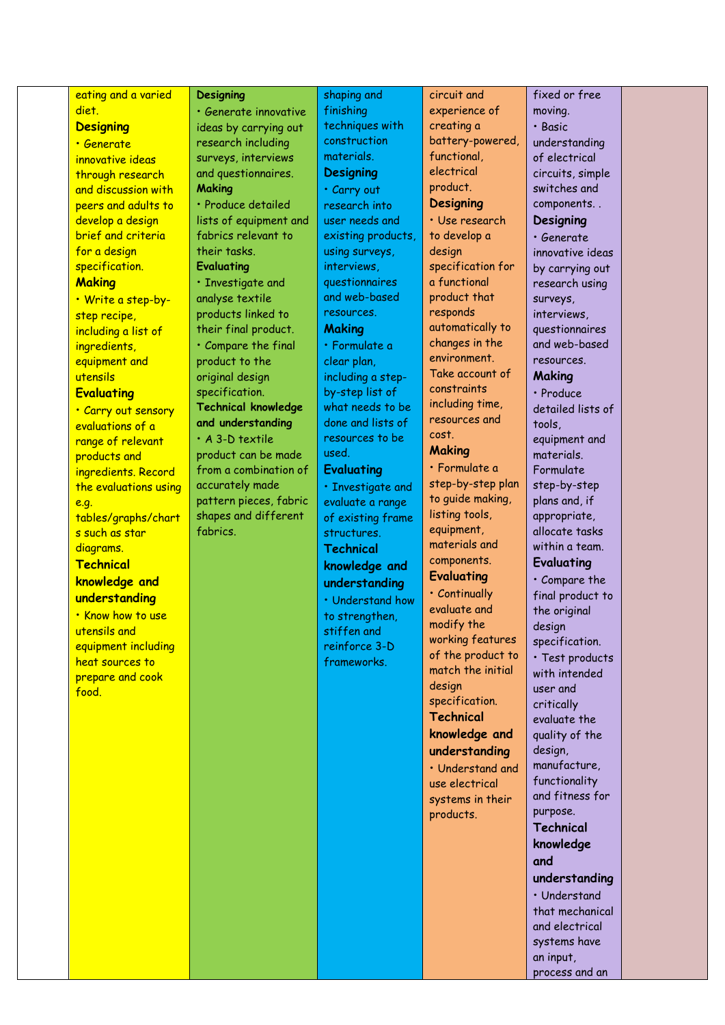| eating and a varied   | <b>Designing</b>           | shaping and        | circuit and                           | fixed or free              |  |
|-----------------------|----------------------------|--------------------|---------------------------------------|----------------------------|--|
| diet.                 | · Generate innovative      | finishing          | experience of                         | moving.                    |  |
| <b>Designing</b>      | ideas by carrying out      | techniques with    | creating a                            | · Basic                    |  |
| • Generate            | research including         | construction       | battery-powered,                      | understanding              |  |
| innovative ideas      | surveys, interviews        | materials.         | functional,                           | of electrical              |  |
| through research      | and questionnaires.        | <b>Designing</b>   | electrical                            | circuits, simple           |  |
| and discussion with   | <b>Making</b>              | · Carry out        | product.                              | switches and               |  |
| peers and adults to   | · Produce detailed         | research into      | <b>Designing</b>                      | components                 |  |
| develop a design      | lists of equipment and     | user needs and     | · Use research                        | Designing                  |  |
| brief and criteria    | fabrics relevant to        | existing products, | to develop a                          | · Generate                 |  |
| for a design          | their tasks.               | using surveys,     | design                                | innovative ideas           |  |
| specification.        | <b>Evaluating</b>          | interviews,        | specification for                     | by carrying out            |  |
| <b>Making</b>         | · Investigate and          | questionnaires     | a functional                          | research using             |  |
| · Write a step-by-    | analyse textile            | and web-based      | product that                          | surveys,                   |  |
| step recipe,          | products linked to         | resources.         | responds                              | interviews,                |  |
| including a list of   | their final product.       | <b>Making</b>      | automatically to                      | questionnaires             |  |
| ingredients,          | · Compare the final        | · Formulate a      | changes in the                        | and web-based              |  |
| equipment and         | product to the             | clear plan,        | environment.                          | resources.                 |  |
| utensils              | original design            | including a step-  | Take account of                       | Making                     |  |
| <b>Evaluating</b>     | specification.             | by-step list of    | constraints                           | · Produce                  |  |
| · Carry out sensory   | <b>Technical knowledge</b> | what needs to be   | including time,                       | detailed lists of          |  |
| evaluations of a      | and understanding          | done and lists of  | resources and                         | tools,                     |  |
| range of relevant     | $\cdot$ A 3-D textile      | resources to be    | cost.                                 | equipment and              |  |
| products and          | product can be made        | used.              | Making                                | materials.                 |  |
| ingredients. Record   | from a combination of      | <b>Evaluating</b>  | · Formulate a                         | Formulate                  |  |
| the evaluations using | accurately made            | · Investigate and  | step-by-step plan                     | step-by-step               |  |
| e.g.                  | pattern pieces, fabric     | evaluate a range   | to guide making,                      | plans and, if              |  |
| tables/graphs/chart   | shapes and different       | of existing frame  | listing tools,                        | appropriate,               |  |
| s such as star        | fabrics.                   | structures.        | equipment,                            | allocate tasks             |  |
| diagrams.             |                            | <b>Technical</b>   | materials and                         | within a team.             |  |
| Technical             |                            | knowledge and      | components.                           | Evaluating                 |  |
| knowledge and         |                            | understanding      | <b>Evaluating</b>                     | · Compare the              |  |
| understanding         |                            | · Understand how   | · Continually                         | final product to           |  |
| . Know how to use     |                            | to strengthen,     | evaluate and                          | the original               |  |
| utensils and          |                            | stiffen and        | modify the                            | design                     |  |
| equipment including   |                            | reinforce 3-D      | working features<br>of the product to | specification.             |  |
| heat sources to       |                            | frameworks.        | match the initial                     | · Test products            |  |
| prepare and cook      |                            |                    | design                                | with intended              |  |
| food.                 |                            |                    | specification.                        | user and                   |  |
|                       |                            |                    | <b>Technical</b>                      | critically<br>evaluate the |  |
|                       |                            |                    | knowledge and                         | quality of the             |  |
|                       |                            |                    | understanding                         | design,                    |  |
|                       |                            |                    | · Understand and                      | manufacture,               |  |
|                       |                            |                    | use electrical                        | functionality              |  |
|                       |                            |                    | systems in their                      | and fitness for            |  |
|                       |                            |                    | products.                             | purpose.                   |  |
|                       |                            |                    |                                       | <b>Technical</b>           |  |
|                       |                            |                    |                                       | knowledge                  |  |
|                       |                            |                    |                                       | and                        |  |
|                       |                            |                    |                                       | understanding              |  |
|                       |                            |                    |                                       | • Understand               |  |
|                       |                            |                    |                                       | that mechanical            |  |
|                       |                            |                    |                                       | and electrical             |  |
|                       |                            |                    |                                       | systems have               |  |
|                       |                            |                    |                                       | an input,                  |  |
|                       |                            |                    |                                       | process and an             |  |